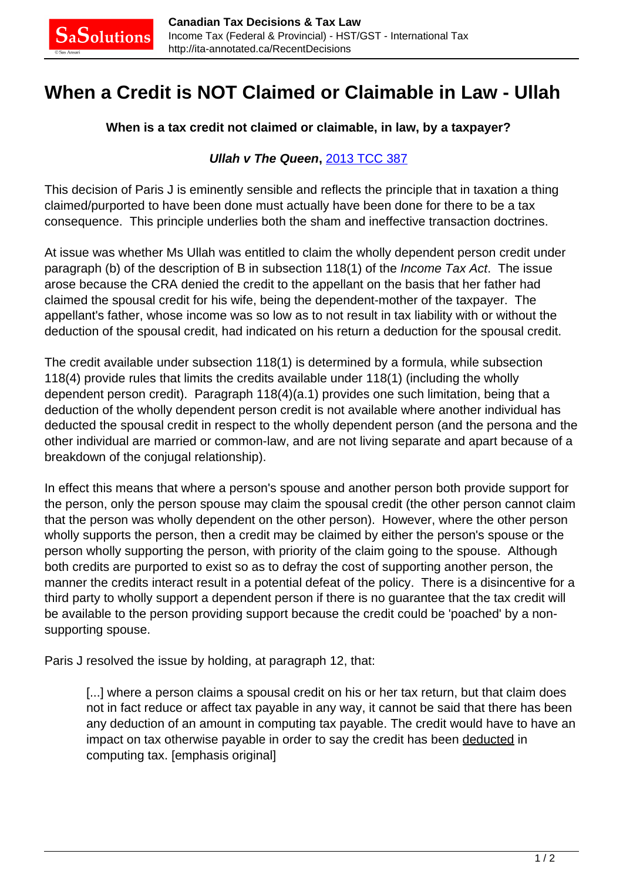## **When a Credit is NOT Claimed or Claimable in Law - Ullah**

## **When is a tax credit not claimed or claimable, in law, by a taxpayer?**

## **Ullah v The Queen, [2013 TCC 387](http://decision.tcc-cci.gc.ca/site/tcc-cci/decisions/en/item/65050/index.do)**

This decision of Paris J is eminently sensible and reflects the principle that in taxation a thing claimed/purported to have been done must actually have been done for there to be a tax consequence. This principle underlies both the sham and ineffective transaction doctrines.

At issue was whether Ms Ullah was entitled to claim the wholly dependent person credit under paragraph (b) of the description of B in subsection 118(1) of the Income Tax Act. The issue arose because the CRA denied the credit to the appellant on the basis that her father had claimed the spousal credit for his wife, being the dependent-mother of the taxpayer. The appellant's father, whose income was so low as to not result in tax liability with or without the deduction of the spousal credit, had indicated on his return a deduction for the spousal credit.

The credit available under subsection 118(1) is determined by a formula, while subsection 118(4) provide rules that limits the credits available under 118(1) (including the wholly dependent person credit). Paragraph 118(4)(a.1) provides one such limitation, being that a deduction of the wholly dependent person credit is not available where another individual has deducted the spousal credit in respect to the wholly dependent person (and the persona and the other individual are married or common-law, and are not living separate and apart because of a breakdown of the conjugal relationship).

In effect this means that where a person's spouse and another person both provide support for the person, only the person spouse may claim the spousal credit (the other person cannot claim that the person was wholly dependent on the other person). However, where the other person wholly supports the person, then a credit may be claimed by either the person's spouse or the person wholly supporting the person, with priority of the claim going to the spouse. Although both credits are purported to exist so as to defray the cost of supporting another person, the manner the credits interact result in a potential defeat of the policy. There is a disincentive for a third party to wholly support a dependent person if there is no guarantee that the tax credit will be available to the person providing support because the credit could be 'poached' by a nonsupporting spouse.

Paris J resolved the issue by holding, at paragraph 12, that:

[...] where a person claims a spousal credit on his or her tax return, but that claim does not in fact reduce or affect tax payable in any way, it cannot be said that there has been any deduction of an amount in computing tax payable. The credit would have to have an impact on tax otherwise payable in order to say the credit has been deducted in computing tax. [emphasis original]